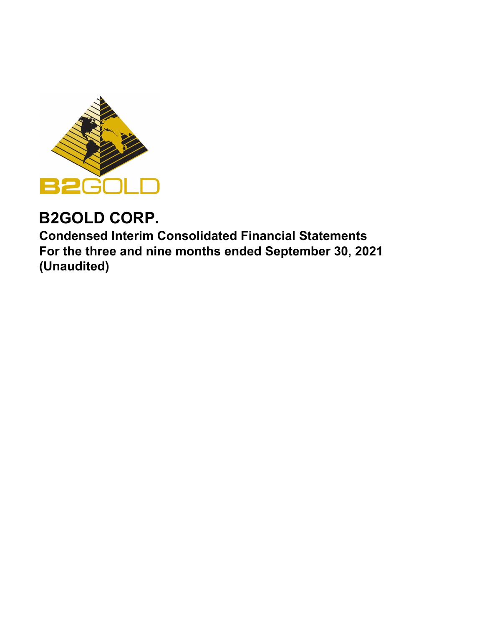

# **B2GOLD CORP.**

**Condensed Interim Consolidated Financial Statements For the three and nine months ended September 30, 2021 (Unaudited)**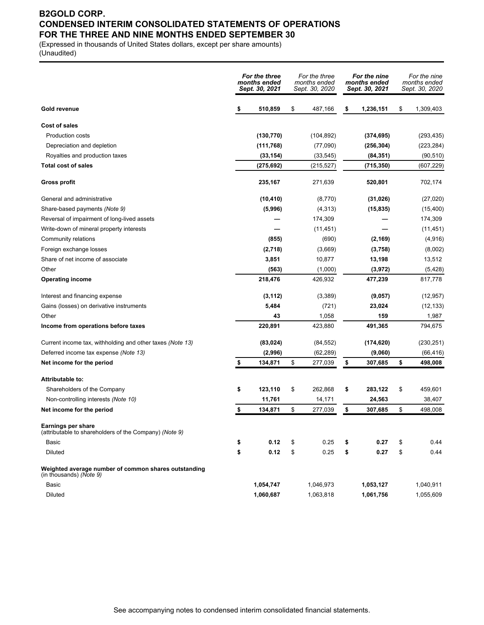## **B2GOLD CORP. CONDENSED INTERIM CONSOLIDATED STATEMENTS OF OPERATIONS FOR THE THREE AND NINE MONTHS ENDED SEPTEMBER 30**

(Expressed in thousands of United States dollars, except per share amounts) (Unaudited)

|                                                                                 | For the three<br>For the three<br>months ended<br>months ended<br>Sept. 30, 2021<br>Sept. 30, 2020 |    | For the nine<br>months ended<br>Sept. 30, 2021 |    | For the nine<br>months ended<br>Sept. 30, 2020 |    |            |
|---------------------------------------------------------------------------------|----------------------------------------------------------------------------------------------------|----|------------------------------------------------|----|------------------------------------------------|----|------------|
| Gold revenue                                                                    | \$<br>510,859                                                                                      | \$ | 487,166                                        | \$ | 1,236,151                                      | \$ | 1,309,403  |
| Cost of sales                                                                   |                                                                                                    |    |                                                |    |                                                |    |            |
| <b>Production costs</b>                                                         | (130, 770)                                                                                         |    | (104, 892)                                     |    | (374, 695)                                     |    | (293, 435) |
| Depreciation and depletion                                                      | (111, 768)                                                                                         |    | (77,090)                                       |    | (256, 304)                                     |    | (223, 284) |
| Royalties and production taxes                                                  | (33, 154)                                                                                          |    | (33, 545)                                      |    | (84, 351)                                      |    | (90, 510)  |
| <b>Total cost of sales</b>                                                      | (275, 692)                                                                                         |    | (215, 527)                                     |    | (715, 350)                                     |    | (607, 229) |
| <b>Gross profit</b>                                                             | 235,167                                                                                            |    | 271,639                                        |    | 520,801                                        |    | 702,174    |
| General and administrative                                                      | (10, 410)                                                                                          |    | (8,770)                                        |    | (31, 026)                                      |    | (27,020)   |
| Share-based payments (Note 9)                                                   | (5,996)                                                                                            |    | (4,313)                                        |    | (15, 835)                                      |    | (15, 400)  |
| Reversal of impairment of long-lived assets                                     |                                                                                                    |    | 174,309                                        |    |                                                |    | 174,309    |
| Write-down of mineral property interests                                        |                                                                                                    |    | (11, 451)                                      |    |                                                |    | (11, 451)  |
| Community relations                                                             | (855)                                                                                              |    | (690)                                          |    | (2, 169)                                       |    | (4,916)    |
| Foreign exchange losses                                                         | (2,718)                                                                                            |    | (3,669)                                        |    | (3,758)                                        |    | (8,002)    |
| Share of net income of associate                                                | 3,851                                                                                              |    | 10,877                                         |    | 13,198                                         |    | 13,512     |
| Other                                                                           | (563)                                                                                              |    | (1,000)                                        |    | (3, 972)                                       |    | (5, 428)   |
| <b>Operating income</b>                                                         | 218,476                                                                                            |    | 426,932                                        |    | 477,239                                        |    | 817,778    |
| Interest and financing expense                                                  | (3, 112)                                                                                           |    | (3,389)                                        |    | (9,057)                                        |    | (12, 957)  |
| Gains (losses) on derivative instruments                                        | 5,484                                                                                              |    | (721)                                          |    | 23,024                                         |    | (12, 133)  |
| Other                                                                           | 43                                                                                                 |    | 1,058                                          |    | 159                                            |    | 1,987      |
| Income from operations before taxes                                             | 220,891                                                                                            |    | 423,880                                        |    | 491,365                                        |    | 794,675    |
| Current income tax, withholding and other taxes (Note 13)                       | (83, 024)                                                                                          |    | (84, 552)                                      |    | (174, 620)                                     |    | (230, 251) |
| Deferred income tax expense (Note 13)                                           | (2,996)                                                                                            |    | (62, 289)                                      |    | (9,060)                                        |    | (66, 416)  |
| Net income for the period                                                       | \$<br>134,871                                                                                      | \$ | 277,039                                        | \$ | 307,685                                        | \$ | 498,008    |
| <b>Attributable to:</b>                                                         |                                                                                                    |    |                                                |    |                                                |    |            |
| Shareholders of the Company                                                     | \$<br>123,110                                                                                      | \$ | 262,868                                        | \$ | 283,122                                        | \$ | 459,601    |
| Non-controlling interests (Note 10)                                             | 11,761                                                                                             |    | 14,171                                         |    | 24,563                                         |    | 38,407     |
| Net income for the period                                                       | \$<br>134,871                                                                                      | \$ | 277,039                                        | \$ | 307,685                                        | \$ | 498,008    |
| Earnings per share<br>(attributable to shareholders of the Company) (Note 9)    |                                                                                                    |    |                                                |    |                                                |    |            |
| Basic                                                                           | \$<br>0.12                                                                                         | \$ | 0.25                                           | \$ | 0.27                                           | \$ | 0.44       |
| <b>Diluted</b>                                                                  | \$<br>0.12                                                                                         | \$ | 0.25                                           | \$ | 0.27                                           | \$ | 0.44       |
| Weighted average number of common shares outstanding<br>(in thousands) (Note 9) |                                                                                                    |    |                                                |    |                                                |    |            |
| Basic                                                                           | 1,054,747                                                                                          |    | 1,046,973                                      |    | 1,053,127                                      |    | 1,040,911  |
| Diluted                                                                         | 1,060,687                                                                                          |    | 1,063,818                                      |    | 1,061,756                                      |    | 1,055,609  |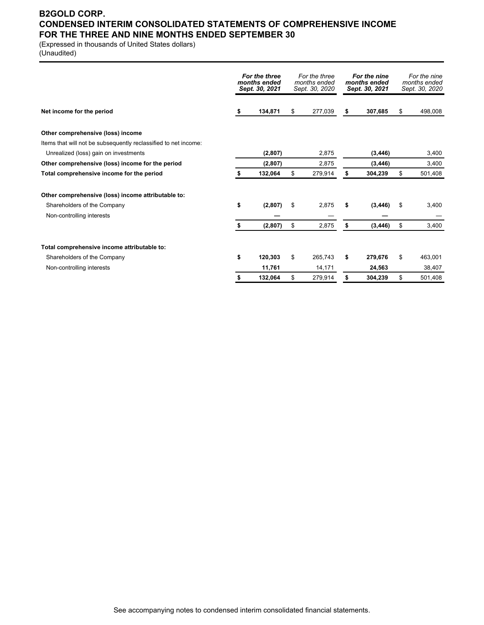## **B2GOLD CORP. CONDENSED INTERIM CONSOLIDATED STATEMENTS OF COMPREHENSIVE INCOME FOR THE THREE AND NINE MONTHS ENDED SEPTEMBER 30**

(Expressed in thousands of United States dollars)

(Unaudited)

|                                                                 | For the three<br>months ended<br>Sept. 30, 2021 | For the three<br>months ended<br>Sept. 30, 2020 |    | For the nine<br>months ended<br>Sept. 30, 2021 | For the nine<br>months ended<br>Sept. 30, 2020 |
|-----------------------------------------------------------------|-------------------------------------------------|-------------------------------------------------|----|------------------------------------------------|------------------------------------------------|
| Net income for the period                                       | \$<br>134,871                                   | \$<br>277,039                                   | \$ | 307,685                                        | \$<br>498,008                                  |
| Other comprehensive (loss) income                               |                                                 |                                                 |    |                                                |                                                |
| Items that will not be subsequently reclassified to net income: |                                                 |                                                 |    |                                                |                                                |
| Unrealized (loss) gain on investments                           | (2,807)                                         | 2,875                                           |    | (3, 446)                                       | 3,400                                          |
| Other comprehensive (loss) income for the period                | (2,807)                                         | 2,875                                           |    | (3, 446)                                       | 3,400                                          |
| Total comprehensive income for the period                       | 132,064                                         | \$<br>279,914                                   | S  | 304,239                                        | \$<br>501,408                                  |
| Other comprehensive (loss) income attributable to:              |                                                 |                                                 |    |                                                |                                                |
| Shareholders of the Company                                     | \$<br>(2,807)                                   | \$<br>2,875                                     | \$ | (3, 446)                                       | \$<br>3,400                                    |
| Non-controlling interests                                       |                                                 |                                                 |    |                                                |                                                |
|                                                                 | \$<br>(2,807)                                   | \$<br>2,875                                     | \$ | (3, 446)                                       | \$<br>3,400                                    |
| Total comprehensive income attributable to:                     |                                                 |                                                 |    |                                                |                                                |
| Shareholders of the Company                                     | \$<br>120.303                                   | \$<br>265.743                                   | \$ | 279.676                                        | \$<br>463,001                                  |
| Non-controlling interests                                       | 11,761                                          | 14,171                                          |    | 24,563                                         | 38,407                                         |
|                                                                 | \$<br>132,064                                   | \$<br>279,914                                   | \$ | 304,239                                        | \$<br>501,408                                  |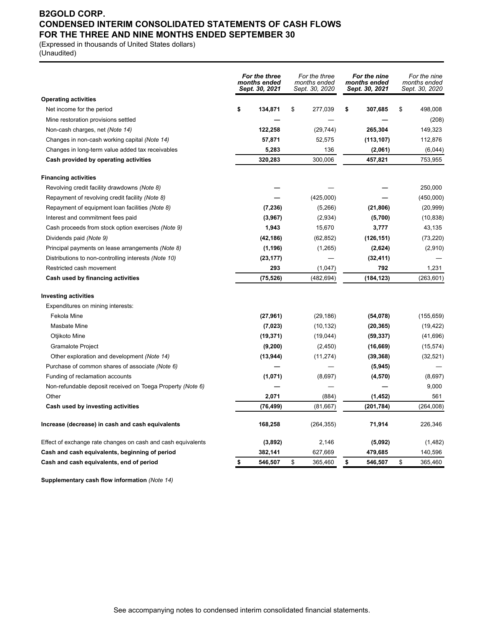## **B2GOLD CORP. CONDENSED INTERIM CONSOLIDATED STATEMENTS OF CASH FLOWS FOR THE THREE AND NINE MONTHS ENDED SEPTEMBER 30**

(Expressed in thousands of United States dollars)

(Unaudited)

|                                                              | For the three<br>months ended<br>Sept. 30, 2021 | For the three<br>months ended<br>Sept. 30, 2020 | For the nine<br>months ended<br>Sept. 30, 2021 | For the nine<br>months ended<br>Sept. 30, 2020 |
|--------------------------------------------------------------|-------------------------------------------------|-------------------------------------------------|------------------------------------------------|------------------------------------------------|
| <b>Operating activities</b>                                  |                                                 |                                                 |                                                |                                                |
| Net income for the period                                    | \$<br>134,871                                   | \$<br>277,039                                   | \$<br>307,685                                  | \$<br>498,008                                  |
| Mine restoration provisions settled                          |                                                 |                                                 |                                                | (208)                                          |
| Non-cash charges, net (Note 14)                              | 122,258                                         | (29, 744)                                       | 265,304                                        | 149,323                                        |
| Changes in non-cash working capital (Note 14)                | 57,871                                          | 52,575                                          | (113, 107)                                     | 112,876                                        |
| Changes in long-term value added tax receivables             | 5,283                                           | 136                                             | (2,061)                                        | (6,044)                                        |
| Cash provided by operating activities                        | 320,283                                         | 300,006                                         | 457,821                                        | 753,955                                        |
| <b>Financing activities</b>                                  |                                                 |                                                 |                                                |                                                |
| Revolving credit facility drawdowns (Note 8)                 |                                                 |                                                 |                                                | 250,000                                        |
| Repayment of revolving credit facility (Note 8)              |                                                 | (425,000)                                       |                                                | (450,000)                                      |
| Repayment of equipment loan facilities (Note 8)              | (7,236)                                         | (5,266)                                         | (21, 806)                                      | (20, 999)                                      |
| Interest and commitment fees paid                            | (3,967)                                         | (2,934)                                         | (5,700)                                        | (10, 838)                                      |
| Cash proceeds from stock option exercises (Note 9)           | 1,943                                           | 15,670                                          | 3,777                                          | 43,135                                         |
| Dividends paid (Note 9)                                      | (42, 186)                                       | (62, 852)                                       | (126, 151)                                     | (73, 220)                                      |
| Principal payments on lease arrangements (Note 8)            | (1, 196)                                        | (1,265)                                         | (2,624)                                        | (2,910)                                        |
| Distributions to non-controlling interests (Note 10)         | (23, 177)                                       |                                                 | (32, 411)                                      |                                                |
| Restricted cash movement                                     | 293                                             | (1,047)                                         | 792                                            | 1,231                                          |
| Cash used by financing activities                            | (75, 526)                                       | (482, 694)                                      | (184, 123)                                     | (263, 601)                                     |
| <b>Investing activities</b>                                  |                                                 |                                                 |                                                |                                                |
| Expenditures on mining interests:                            |                                                 |                                                 |                                                |                                                |
| Fekola Mine                                                  | (27, 961)                                       | (29, 186)                                       | (54, 078)                                      | (155, 659)                                     |
| <b>Masbate Mine</b>                                          | (7,023)                                         | (10, 132)                                       | (20, 365)                                      | (19, 422)                                      |
| Otjikoto Mine                                                | (19, 371)                                       | (19,044)                                        | (59, 337)                                      | (41,696)                                       |
| <b>Gramalote Project</b>                                     | (9,200)                                         | (2, 450)                                        | (16, 669)                                      | (15, 574)                                      |
| Other exploration and development (Note 14)                  | (13, 944)                                       | (11, 274)                                       | (39, 368)                                      | (32, 521)                                      |
| Purchase of common shares of associate (Note 6)              |                                                 |                                                 | (5, 945)                                       |                                                |
| Funding of reclamation accounts                              | (1,071)                                         | (8,697)                                         | (4,570)                                        | (8,697)                                        |
| Non-refundable deposit received on Toega Property (Note 6)   |                                                 |                                                 |                                                | 9,000                                          |
| Other                                                        | 2,071                                           | (884)                                           | (1, 452)                                       | 561                                            |
| Cash used by investing activities                            | (76, 499)                                       | (81, 667)                                       | (201, 784)                                     | (264,008)                                      |
| Increase (decrease) in cash and cash equivalents             | 168,258                                         | (264, 355)                                      | 71,914                                         | 226,346                                        |
| Effect of exchange rate changes on cash and cash equivalents | (3,892)                                         | 2,146                                           | (5,092)                                        | (1, 482)                                       |
| Cash and cash equivalents, beginning of period               | 382,141                                         | 627,669                                         | 479,685                                        | 140,596                                        |
| Cash and cash equivalents, end of period                     | \$<br>546,507                                   | \$<br>365,460                                   | \$<br>546,507                                  | \$<br>365,460                                  |

**Supplementary cash flow information** *(Note 14)*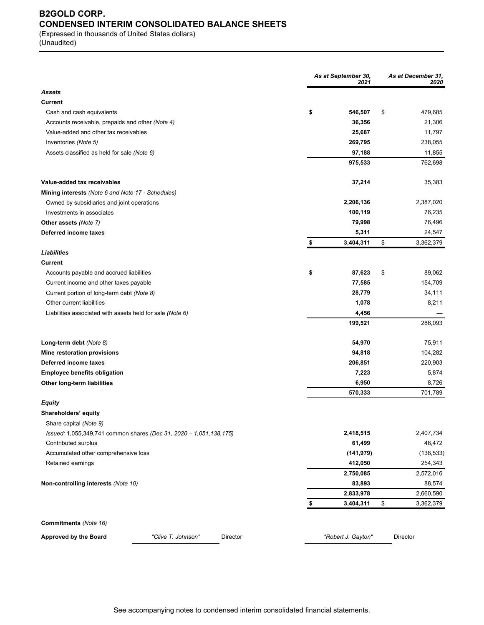# **B2GOLD CORP. CONDENSED INTERIM CONSOLIDATED BALANCE SHEETS**

(Expressed in thousands of United States dollars) (Unaudited)

|                                                                    | As at September 30, | As at December 31,<br>2020 |    |            |
|--------------------------------------------------------------------|---------------------|----------------------------|----|------------|
| Assets                                                             |                     |                            |    |            |
| <b>Current</b>                                                     |                     |                            |    |            |
| Cash and cash equivalents                                          | \$                  | 546,507                    | \$ | 479,685    |
| Accounts receivable, prepaids and other (Note 4)                   |                     | 36,356                     |    | 21,306     |
| Value-added and other tax receivables                              |                     | 25,687                     |    | 11,797     |
| Inventories (Note 5)                                               |                     | 269,795                    |    | 238,055    |
| Assets classified as held for sale (Note 6)                        |                     | 97,188                     |    | 11,855     |
|                                                                    |                     | 975,533                    |    | 762,698    |
| Value-added tax receivables                                        |                     | 37,214                     |    | 35,383     |
| Mining interests (Note 6 and Note 17 - Schedules)                  |                     |                            |    |            |
| Owned by subsidiaries and joint operations                         |                     | 2,206,136                  |    | 2,387,020  |
| Investments in associates                                          |                     | 100,119                    |    | 76,235     |
| Other assets (Note 7)                                              |                     | 79,998                     |    | 76,496     |
| Deferred income taxes                                              |                     | 5,311                      |    | 24,547     |
|                                                                    | \$                  | 3,404,311                  | \$ | 3,362,379  |
| <b>Liabilities</b>                                                 |                     |                            |    |            |
| Current                                                            |                     |                            |    |            |
| Accounts payable and accrued liabilities                           | \$                  | 87,623                     | \$ | 89,062     |
| Current income and other taxes payable                             |                     | 77,585                     |    | 154,709    |
| Current portion of long-term debt (Note 8)                         |                     | 28,779                     |    | 34,111     |
| Other current liabilities                                          |                     | 1,078                      |    | 8,211      |
| Liabilities associated with assets held for sale (Note 6)          |                     | 4,456                      |    |            |
|                                                                    |                     | 199,521                    |    | 286,093    |
| Long-term debt (Note 8)                                            |                     | 54,970                     |    | 75,911     |
| Mine restoration provisions                                        |                     | 94,818                     |    | 104,282    |
| Deferred income taxes                                              |                     | 206,851                    |    | 220,903    |
| <b>Employee benefits obligation</b>                                |                     | 7,223                      |    | 5,874      |
| Other long-term liabilities                                        |                     | 6,950                      |    | 8,726      |
|                                                                    |                     | 570,333                    |    | 701,789    |
| Equity                                                             |                     |                            |    |            |
| Shareholders' equity                                               |                     |                            |    |            |
| Share capital (Note 9)                                             |                     |                            |    |            |
| Issued: 1,055,349,741 common shares (Dec 31, 2020 - 1,051,138,175) |                     | 2,418,515                  |    | 2,407,734  |
| Contributed surplus                                                |                     | 61,499                     |    | 48,472     |
| Accumulated other comprehensive loss                               |                     | (141, 979)                 |    | (138, 533) |
| Retained earnings                                                  |                     | 412,050                    |    | 254,343    |
|                                                                    |                     | 2,750,085                  |    | 2,572,016  |
| Non-controlling interests (Note 10)                                |                     | 83,893                     |    | 88,574     |
|                                                                    |                     | 2,833,978                  |    | 2,660,590  |
|                                                                    |                     | 3,404,311                  | \$ | 3,362,379  |
| Commitments (Note 16)                                              |                     |                            |    |            |
| Approved by the Board<br>"Clive T. Johnson"<br>Director            |                     | "Robert J. Gayton"         |    | Director   |
|                                                                    |                     |                            |    |            |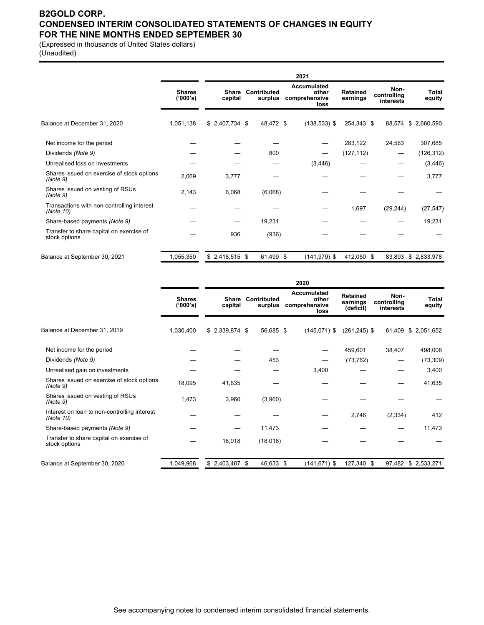## **B2GOLD CORP. CONDENSED INTERIM CONSOLIDATED STATEMENTS OF CHANGES IN EQUITY FOR THE NINE MONTHS ENDED SEPTEMBER 30**

(Expressed in thousands of United States dollars)

(Unaudited)

|                                                           |                           |                         |                        | 2021                                                 |                             |                                  |                 |
|-----------------------------------------------------------|---------------------------|-------------------------|------------------------|------------------------------------------------------|-----------------------------|----------------------------------|-----------------|
|                                                           | <b>Shares</b><br>('000's) | <b>Share</b><br>capital | Contributed<br>surplus | <b>Accumulated</b><br>other<br>comprehensive<br>loss | <b>Retained</b><br>earnings | Non-<br>controlling<br>interests | Total<br>equity |
| Balance at December 31, 2020                              | 1,051,138                 | $$2,407,734$ \$         | 48,472 \$              | $(138, 533)$ \$                                      | 254,343 \$                  | 88,574                           | \$2,660,590     |
| Net income for the period                                 |                           |                         |                        |                                                      | 283,122                     | 24,563                           | 307,685         |
| Dividends (Note 9)                                        |                           |                         | 800                    |                                                      | (127, 112)                  |                                  | (126, 312)      |
| Unrealised loss on investments                            |                           |                         |                        | (3, 446)                                             |                             |                                  | (3, 446)        |
| Shares issued on exercise of stock options<br>(Note 9)    | 2,069                     | 3,777                   |                        |                                                      |                             |                                  | 3,777           |
| Shares issued on vesting of RSUs<br>(Note 9)              | 2,143                     | 6,068                   | (6,068)                |                                                      |                             |                                  |                 |
| Transactions with non-controlling interest<br>(Note 10)   |                           |                         |                        |                                                      | 1,697                       | (29, 244)                        | (27, 547)       |
| Share-based payments (Note 9)                             |                           |                         | 19,231                 |                                                      |                             |                                  | 19,231          |
| Transfer to share capital on exercise of<br>stock options |                           | 936                     | (936)                  |                                                      |                             |                                  |                 |
| Balance at September 30, 2021                             | 1,055,350                 | $$2,418,515$ \$         | 61,499 \$              | $(141, 979)$ \$                                      | 412,050 \$                  | 83,893                           | \$2,833,978     |

|                                                           |                           |                         |                        | 2020                                          |                                          |                                  |                     |
|-----------------------------------------------------------|---------------------------|-------------------------|------------------------|-----------------------------------------------|------------------------------------------|----------------------------------|---------------------|
|                                                           | <b>Shares</b><br>('000's) | <b>Share</b><br>capital | Contributed<br>surplus | Accumulated<br>other<br>comprehensive<br>loss | <b>Retained</b><br>earnings<br>(deficit) | Non-<br>controlling<br>interests | Total<br>equity     |
| Balance at December 31, 2019                              | 1,030,400                 | $$2,339,874$ \$         | 56,685 \$              | $(145.071)$ \$                                | $(261, 245)$ \$                          | 61,409                           | \$2,051,652         |
| Net income for the period                                 |                           |                         |                        |                                               | 459,601                                  | 38,407                           | 498,008             |
| Dividends (Note 9)                                        |                           |                         | 453                    |                                               | (73, 762)                                |                                  | (73, 309)           |
| Unrealised gain on investments                            |                           |                         |                        | 3,400                                         |                                          |                                  | 3,400               |
| Shares issued on exercise of stock options<br>(Note 9)    | 18,095                    | 41,635                  |                        |                                               |                                          |                                  | 41,635              |
| Shares issued on vesting of RSUs<br>(Note 9)              | 1,473                     | 3,960                   | (3,960)                |                                               |                                          |                                  |                     |
| Interest on loan to non-controlling interest<br>(Note 10) |                           |                         |                        |                                               | 2,746                                    | (2, 334)                         | 412                 |
| Share-based payments (Note 9)                             |                           |                         | 11,473                 |                                               |                                          |                                  | 11,473              |
| Transfer to share capital on exercise of<br>stock options |                           | 18,018                  | (18,018)               |                                               |                                          |                                  |                     |
| Balance at September 30, 2020                             | 1,049,968                 | \$2,403,487             | 46,633 \$<br>\$        | $(141, 671)$ \$                               | 127,340 \$                               |                                  | 97,482 \$ 2,533,271 |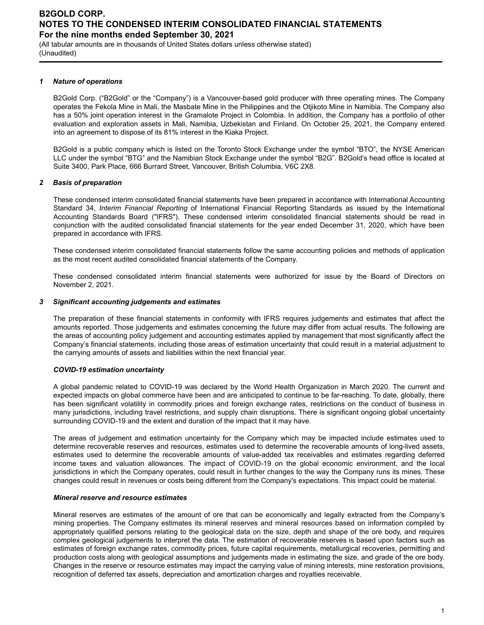(All tabular amounts are in thousands of United States dollars unless otherwise stated) (Unaudited)

#### *1 Nature of operations*

B2Gold Corp. ("B2Gold" or the "Company") is a Vancouver-based gold producer with three operating mines. The Company operates the Fekola Mine in Mali, the Masbate Mine in the Philippines and the Otjikoto Mine in Namibia. The Company also has a 50% joint operation interest in the Gramalote Project in Colombia. In addition, the Company has a portfolio of other evaluation and exploration assets in Mali, Namibia, Uzbekistan and Finland. On October 25, 2021, the Company entered into an agreement to dispose of its 81% interest in the Kiaka Project.

B2Gold is a public company which is listed on the Toronto Stock Exchange under the symbol "BTO", the NYSE American LLC under the symbol "BTG" and the Namibian Stock Exchange under the symbol "B2G". B2Gold's head office is located at Suite 3400, Park Place, 666 Burrard Street, Vancouver, British Columbia, V6C 2X8.

#### *2 Basis of preparation*

These condensed interim consolidated financial statements have been prepared in accordance with International Accounting Standard 34, *Interim Financial Reporting* of International Financial Reporting Standards as issued by the International Accounting Standards Board ("IFRS"). These condensed interim consolidated financial statements should be read in conjunction with the audited consolidated financial statements for the year ended December 31, 2020, which have been prepared in accordance with IFRS.

These condensed interim consolidated financial statements follow the same accounting policies and methods of application as the most recent audited consolidated financial statements of the Company.

These condensed consolidated interim financial statements were authorized for issue by the Board of Directors on November 2, 2021.

#### *3 Significant accounting judgements and estimates*

The preparation of these financial statements in conformity with IFRS requires judgements and estimates that affect the amounts reported. Those judgements and estimates concerning the future may differ from actual results. The following are the areas of accounting policy judgement and accounting estimates applied by management that most significantly affect the Company's financial statements, including those areas of estimation uncertainty that could result in a material adjustment to the carrying amounts of assets and liabilities within the next financial year.

#### *COVID-19 estimation uncertainty*

A global pandemic related to COVID-19 was declared by the World Health Organization in March 2020. The current and expected impacts on global commerce have been and are anticipated to continue to be far-reaching. To date, globally, there has been significant volatility in commodity prices and foreign exchange rates, restrictions on the conduct of business in many jurisdictions, including travel restrictions, and supply chain disruptions. There is significant ongoing global uncertainty surrounding COVID-19 and the extent and duration of the impact that it may have.

The areas of judgement and estimation uncertainty for the Company which may be impacted include estimates used to determine recoverable reserves and resources, estimates used to determine the recoverable amounts of long-lived assets, estimates used to determine the recoverable amounts of value-added tax receivables and estimates regarding deferred income taxes and valuation allowances. The impact of COVID-19 on the global economic environment, and the local jurisdictions in which the Company operates, could result in further changes to the way the Company runs its mines. These changes could result in revenues or costs being different from the Company's expectations. This impact could be material.

#### *Mineral reserve and resource estimates*

Mineral reserves are estimates of the amount of ore that can be economically and legally extracted from the Company's mining properties. The Company estimates its mineral reserves and mineral resources based on information compiled by appropriately qualified persons relating to the geological data on the size, depth and shape of the ore body, and requires complex geological judgements to interpret the data. The estimation of recoverable reserves is based upon factors such as estimates of foreign exchange rates, commodity prices, future capital requirements, metallurgical recoveries, permitting and production costs along with geological assumptions and judgements made in estimating the size, and grade of the ore body. Changes in the reserve or resource estimates may impact the carrying value of mining interests, mine restoration provisions, recognition of deferred tax assets, depreciation and amortization charges and royalties receivable.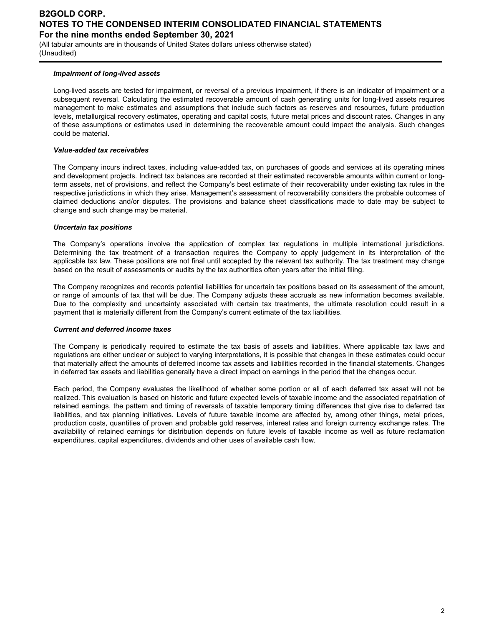(All tabular amounts are in thousands of United States dollars unless otherwise stated) (Unaudited)

#### *Impairment of long-lived assets*

Long-lived assets are tested for impairment, or reversal of a previous impairment, if there is an indicator of impairment or a subsequent reversal. Calculating the estimated recoverable amount of cash generating units for long-lived assets requires management to make estimates and assumptions that include such factors as reserves and resources, future production levels, metallurgical recovery estimates, operating and capital costs, future metal prices and discount rates. Changes in any of these assumptions or estimates used in determining the recoverable amount could impact the analysis. Such changes could be material.

#### *Value-added tax receivables*

The Company incurs indirect taxes, including value-added tax, on purchases of goods and services at its operating mines and development projects. Indirect tax balances are recorded at their estimated recoverable amounts within current or longterm assets, net of provisions, and reflect the Company's best estimate of their recoverability under existing tax rules in the respective jurisdictions in which they arise. Management's assessment of recoverability considers the probable outcomes of claimed deductions and/or disputes. The provisions and balance sheet classifications made to date may be subject to change and such change may be material.

#### *Uncertain tax positions*

The Company's operations involve the application of complex tax regulations in multiple international jurisdictions. Determining the tax treatment of a transaction requires the Company to apply judgement in its interpretation of the applicable tax law. These positions are not final until accepted by the relevant tax authority. The tax treatment may change based on the result of assessments or audits by the tax authorities often years after the initial filing.

The Company recognizes and records potential liabilities for uncertain tax positions based on its assessment of the amount, or range of amounts of tax that will be due. The Company adjusts these accruals as new information becomes available. Due to the complexity and uncertainty associated with certain tax treatments, the ultimate resolution could result in a payment that is materially different from the Company's current estimate of the tax liabilities.

#### *Current and deferred income taxes*

The Company is periodically required to estimate the tax basis of assets and liabilities. Where applicable tax laws and regulations are either unclear or subject to varying interpretations, it is possible that changes in these estimates could occur that materially affect the amounts of deferred income tax assets and liabilities recorded in the financial statements. Changes in deferred tax assets and liabilities generally have a direct impact on earnings in the period that the changes occur.

Each period, the Company evaluates the likelihood of whether some portion or all of each deferred tax asset will not be realized. This evaluation is based on historic and future expected levels of taxable income and the associated repatriation of retained earnings, the pattern and timing of reversals of taxable temporary timing differences that give rise to deferred tax liabilities, and tax planning initiatives. Levels of future taxable income are affected by, among other things, metal prices, production costs, quantities of proven and probable gold reserves, interest rates and foreign currency exchange rates. The availability of retained earnings for distribution depends on future levels of taxable income as well as future reclamation expenditures, capital expenditures, dividends and other uses of available cash flow.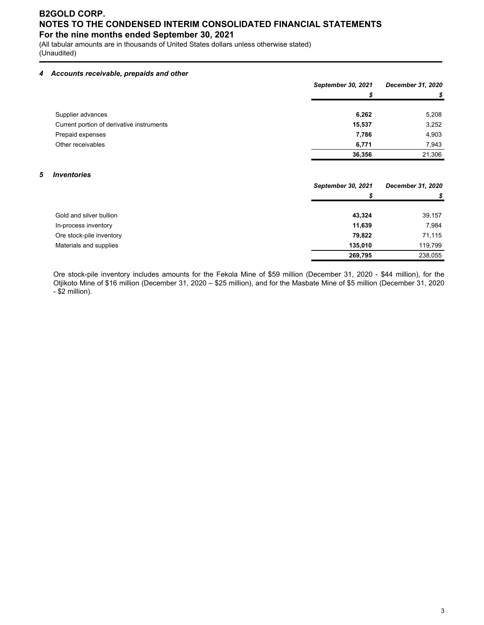(All tabular amounts are in thousands of United States dollars unless otherwise stated) (Unaudited)

### *4 Accounts receivable, prepaids and other*

|                                           | <b>September 30, 2021</b> | <b>December 31, 2020</b> |
|-------------------------------------------|---------------------------|--------------------------|
|                                           |                           | \$                       |
| Supplier advances                         | 6,262                     | 5,208                    |
| Current portion of derivative instruments | 15,537                    | 3,252                    |
| Prepaid expenses                          | 7,786                     | 4,903                    |
| Other receivables                         | 6,771                     | 7,943                    |
|                                           | 36,356                    | 21,306                   |

#### *5 Inventories*

|                          | <b>September 30, 2021</b> | December 31, 2020 |
|--------------------------|---------------------------|-------------------|
|                          | S                         |                   |
| Gold and silver bullion  | 43,324                    | 39,157            |
| In-process inventory     | 11,639                    | 7,984             |
| Ore stock-pile inventory | 79.822                    | 71,115            |
| Materials and supplies   | 135.010                   | 119,799           |
|                          | 269,795                   | 238,055           |

Ore stock-pile inventory includes amounts for the Fekola Mine of \$59 million (December 31, 2020 - \$44 million), for the Otjikoto Mine of \$16 million (December 31, 2020 – \$25 million), and for the Masbate Mine of \$5 million (December 31, 2020 - \$2 million).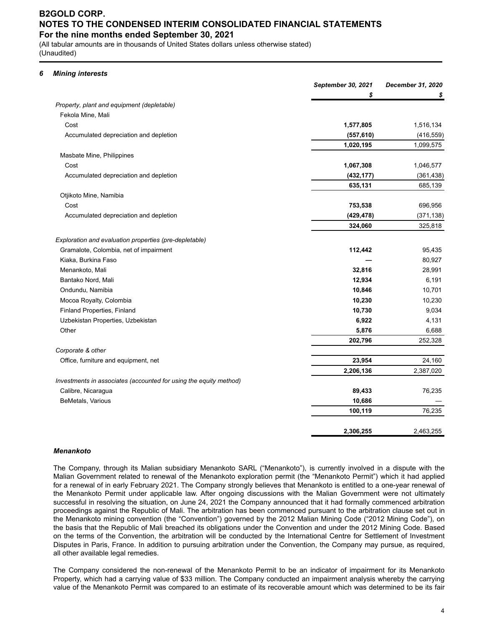(All tabular amounts are in thousands of United States dollars unless otherwise stated) (Unaudited)

#### *6 Mining interests*

|                                                                   | September 30, 2021 | December 31, 2020 |
|-------------------------------------------------------------------|--------------------|-------------------|
|                                                                   | \$                 | \$                |
| Property, plant and equipment (depletable)                        |                    |                   |
| Fekola Mine, Mali                                                 |                    |                   |
| Cost                                                              | 1,577,805          | 1,516,134         |
| Accumulated depreciation and depletion                            | (557, 610)         | (416, 559)        |
|                                                                   | 1,020,195          | 1,099,575         |
| Masbate Mine, Philippines                                         |                    |                   |
| Cost                                                              | 1,067,308          | 1,046,577         |
| Accumulated depreciation and depletion                            | (432, 177)         | (361, 438)        |
|                                                                   | 635,131            | 685,139           |
| Otjikoto Mine, Namibia                                            |                    |                   |
| Cost                                                              | 753,538            | 696,956           |
| Accumulated depreciation and depletion                            | (429, 478)         | (371, 138)        |
|                                                                   | 324,060            | 325,818           |
| Exploration and evaluation properties (pre-depletable)            |                    |                   |
| Gramalote, Colombia, net of impairment                            | 112,442            | 95,435            |
| Kiaka, Burkina Faso                                               |                    | 80,927            |
| Menankoto, Mali                                                   | 32,816             | 28,991            |
| Bantako Nord, Mali                                                | 12,934             | 6,191             |
| Ondundu, Namibia                                                  | 10,846             | 10,701            |
| Mocoa Royalty, Colombia                                           | 10,230             | 10,230            |
| Finland Properties, Finland                                       | 10,730             | 9,034             |
| Uzbekistan Properties, Uzbekistan                                 | 6,922              | 4,131             |
| Other                                                             | 5,876              | 6,688             |
|                                                                   | 202,796            | 252,328           |
| Corporate & other                                                 |                    |                   |
| Office, furniture and equipment, net                              | 23,954             | 24,160            |
|                                                                   | 2,206,136          | 2,387,020         |
| Investments in associates (accounted for using the equity method) |                    |                   |
| Calibre, Nicaragua                                                | 89,433             | 76,235            |
| BeMetals, Various                                                 | 10,686             |                   |
|                                                                   | 100,119            | 76,235            |
|                                                                   | 2,306,255          | 2,463,255         |

#### *Menankoto*

The Company, through its Malian subsidiary Menankoto SARL ("Menankoto"), is currently involved in a dispute with the Malian Government related to renewal of the Menankoto exploration permit (the "Menankoto Permit") which it had applied for a renewal of in early February 2021. The Company strongly believes that Menankoto is entitled to a one-year renewal of the Menankoto Permit under applicable law. After ongoing discussions with the Malian Government were not ultimately successful in resolving the situation, on June 24, 2021 the Company announced that it had formally commenced arbitration proceedings against the Republic of Mali. The arbitration has been commenced pursuant to the arbitration clause set out in the Menankoto mining convention (the "Convention") governed by the 2012 Malian Mining Code ("2012 Mining Code"), on the basis that the Republic of Mali breached its obligations under the Convention and under the 2012 Mining Code. Based on the terms of the Convention, the arbitration will be conducted by the International Centre for Settlement of Investment Disputes in Paris, France. In addition to pursuing arbitration under the Convention, the Company may pursue, as required, all other available legal remedies.

The Company considered the non-renewal of the Menankoto Permit to be an indicator of impairment for its Menankoto Property, which had a carrying value of \$33 million. The Company conducted an impairment analysis whereby the carrying value of the Menankoto Permit was compared to an estimate of its recoverable amount which was determined to be its fair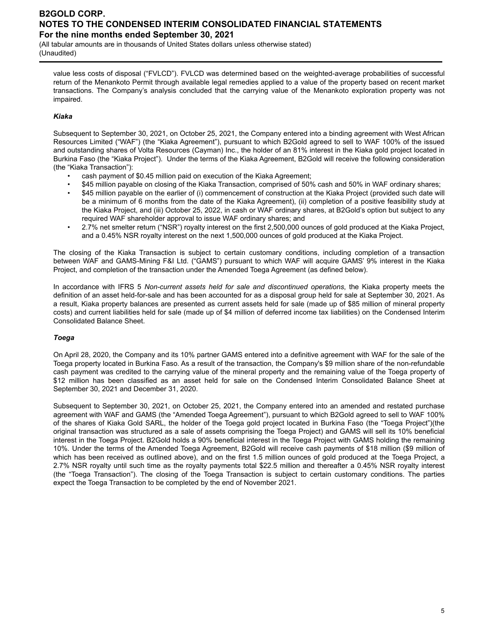(All tabular amounts are in thousands of United States dollars unless otherwise stated) (Unaudited)

value less costs of disposal ("FVLCD"). FVLCD was determined based on the weighted-average probabilities of successful return of the Menankoto Permit through available legal remedies applied to a value of the property based on recent market transactions. The Company's analysis concluded that the carrying value of the Menankoto exploration property was not impaired.

#### *Kiaka*

Subsequent to September 30, 2021, on October 25, 2021, the Company entered into a binding agreement with West African Resources Limited ("WAF") (the "Kiaka Agreement"), pursuant to which B2Gold agreed to sell to WAF 100% of the issued and outstanding shares of Volta Resources (Cayman) Inc., the holder of an 81% interest in the Kiaka gold project located in Burkina Faso (the "Kiaka Project"). Under the terms of the Kiaka Agreement, B2Gold will receive the following consideration (the "Kiaka Transaction"):

- cash payment of \$0.45 million paid on execution of the Kiaka Agreement;
- \$45 million payable on closing of the Kiaka Transaction, comprised of 50% cash and 50% in WAF ordinary shares;
- \$45 million payable on the earlier of (i) commencement of construction at the Kiaka Project (provided such date will be a minimum of 6 months from the date of the Kiaka Agreement), (ii) completion of a positive feasibility study at the Kiaka Project, and (iii) October 25, 2022, in cash or WAF ordinary shares, at B2Gold's option but subject to any required WAF shareholder approval to issue WAF ordinary shares; and
- 2.7% net smelter return ("NSR") royalty interest on the first 2,500,000 ounces of gold produced at the Kiaka Project, and a 0.45% NSR royalty interest on the next 1,500,000 ounces of gold produced at the Kiaka Project.

The closing of the Kiaka Transaction is subject to certain customary conditions, including completion of a transaction between WAF and GAMS-Mining F&I Ltd. ("GAMS") pursuant to which WAF will acquire GAMS' 9% interest in the Kiaka Project, and completion of the transaction under the Amended Toega Agreement (as defined below).

In accordance with IFRS 5 *Non-current assets held for sale and discontinued operations*, the Kiaka property meets the definition of an asset held-for-sale and has been accounted for as a disposal group held for sale at September 30, 2021. As a result, Kiaka property balances are presented as current assets held for sale (made up of \$85 million of mineral property costs) and current liabilities held for sale (made up of \$4 million of deferred income tax liabilities) on the Condensed Interim Consolidated Balance Sheet.

#### *Toega*

On April 28, 2020, the Company and its 10% partner GAMS entered into a definitive agreement with WAF for the sale of the Toega property located in Burkina Faso. As a result of the transaction, the Company's \$9 million share of the non-refundable cash payment was credited to the carrying value of the mineral property and the remaining value of the Toega property of \$12 million has been classified as an asset held for sale on the Condensed Interim Consolidated Balance Sheet at September 30, 2021 and December 31, 2020.

Subsequent to September 30, 2021, on October 25, 2021, the Company entered into an amended and restated purchase agreement with WAF and GAMS (the "Amended Toega Agreement"), pursuant to which B2Gold agreed to sell to WAF 100% of the shares of Kiaka Gold SARL, the holder of the Toega gold project located in Burkina Faso (the "Toega Project")(the original transaction was structured as a sale of assets comprising the Toega Project) and GAMS will sell its 10% beneficial interest in the Toega Project. B2Gold holds a 90% beneficial interest in the Toega Project with GAMS holding the remaining 10%. Under the terms of the Amended Toega Agreement, B2Gold will receive cash payments of \$18 million (\$9 million of which has been received as outlined above), and on the first 1.5 million ounces of gold produced at the Toega Project, a 2.7% NSR royalty until such time as the royalty payments total \$22.5 million and thereafter a 0.45% NSR royalty interest (the "Toega Transaction"). The closing of the Toega Transaction is subject to certain customary conditions. The parties expect the Toega Transaction to be completed by the end of November 2021.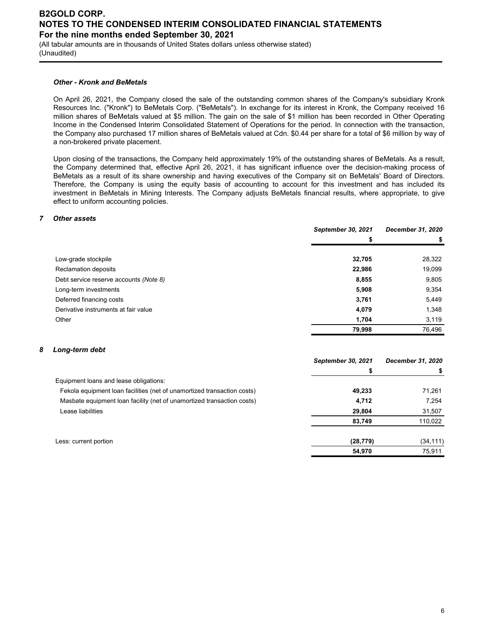(All tabular amounts are in thousands of United States dollars unless otherwise stated) (Unaudited)

#### *Other - Kronk and BeMetals*

On April 26, 2021, the Company closed the sale of the outstanding common shares of the Company's subsidiary Kronk Resources Inc. ("Kronk") to BeMetals Corp. ("BeMetals"). In exchange for its interest in Kronk, the Company received 16 million shares of BeMetals valued at \$5 million. The gain on the sale of \$1 million has been recorded in Other Operating Income in the Condensed Interim Consolidated Statement of Operations for the period. In connection with the transaction, the Company also purchased 17 million shares of BeMetals valued at Cdn. \$0.44 per share for a total of \$6 million by way of a non-brokered private placement.

Upon closing of the transactions, the Company held approximately 19% of the outstanding shares of BeMetals. As a result, the Company determined that, effective April 26, 2021, it has significant influence over the decision-making process of BeMetals as a result of its share ownership and having executives of the Company sit on BeMetals' Board of Directors. Therefore, the Company is using the equity basis of accounting to account for this investment and has included its investment in BeMetals in Mining Interests. The Company adjusts BeMetals financial results, where appropriate, to give effect to uniform accounting policies.

#### *7 Other assets*

|                                        | September 30, 2021 | December 31, 2020 |
|----------------------------------------|--------------------|-------------------|
|                                        | S                  |                   |
|                                        |                    |                   |
| Low-grade stockpile                    | 32,705             | 28,322            |
| <b>Reclamation deposits</b>            | 22,986             | 19,099            |
| Debt service reserve accounts (Note 8) | 8,855              | 9,805             |
| Long-term investments                  | 5,908              | 9,354             |
| Deferred financing costs               | 3,761              | 5,449             |
| Derivative instruments at fair value   | 4,079              | 1,348             |
| Other                                  | 1,704              | 3,119             |
|                                        | 79,998             | 76,496            |

#### *8 Long-term debt*

|                                                                         | <b>September 30, 2021</b> | December 31, 2020 |
|-------------------------------------------------------------------------|---------------------------|-------------------|
|                                                                         | э                         |                   |
| Equipment loans and lease obligations:                                  |                           |                   |
| Fekola equipment loan facilities (net of unamortized transaction costs) | 49,233                    | 71,261            |
| Masbate equipment loan facility (net of unamortized transaction costs)  | 4,712                     | 7,254             |
| Lease liabilities                                                       | 29,804                    | 31,507            |
|                                                                         | 83,749                    | 110,022           |
| Less: current portion                                                   | (28, 779)                 | (34, 111)         |
|                                                                         | 54,970                    | 75,911            |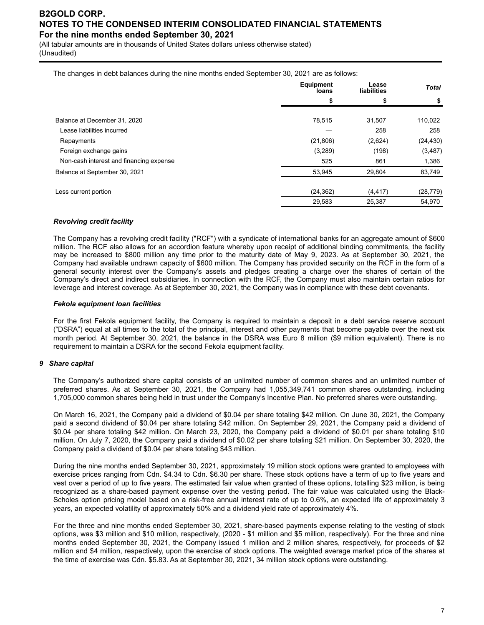(All tabular amounts are in thousands of United States dollars unless otherwise stated) (Unaudited)

The changes in debt balances during the nine months ended September 30, 2021 are as follows:

|                                         | <b>Equipment</b><br>loans | Lease<br>liabilities | <b>Total</b> |
|-----------------------------------------|---------------------------|----------------------|--------------|
|                                         | S                         | \$                   | \$           |
| Balance at December 31, 2020            | 78,515                    | 31,507               | 110,022      |
| Lease liabilities incurred              |                           | 258                  | 258          |
| Repayments                              | (21, 806)                 | (2,624)              | (24, 430)    |
| Foreign exchange gains                  | (3,289)                   | (198)                | (3, 487)     |
| Non-cash interest and financing expense | 525                       | 861                  | 1,386        |
| Balance at September 30, 2021           | 53,945                    | 29,804               | 83,749       |
| Less current portion                    | (24, 362)                 | (4, 417)             | (28, 779)    |
|                                         | 29,583                    | 25,387               | 54,970       |

#### *Revolving credit facility*

The Company has a revolving credit facility ("RCF") with a syndicate of international banks for an aggregate amount of \$600 million. The RCF also allows for an accordion feature whereby upon receipt of additional binding commitments, the facility may be increased to \$800 million any time prior to the maturity date of May 9, 2023. As at September 30, 2021, the Company had available undrawn capacity of \$600 million. The Company has provided security on the RCF in the form of a general security interest over the Company's assets and pledges creating a charge over the shares of certain of the Company's direct and indirect subsidiaries. In connection with the RCF, the Company must also maintain certain ratios for leverage and interest coverage. As at September 30, 2021, the Company was in compliance with these debt covenants.

#### *Fekola equipment loan facilities*

For the first Fekola equipment facility, the Company is required to maintain a deposit in a debt service reserve account ("DSRA") equal at all times to the total of the principal, interest and other payments that become payable over the next six month period. At September 30, 2021, the balance in the DSRA was Euro 8 million (\$9 million equivalent). There is no requirement to maintain a DSRA for the second Fekola equipment facility.

#### *9 Share capital*

The Company's authorized share capital consists of an unlimited number of common shares and an unlimited number of preferred shares. As at September 30, 2021, the Company had 1,055,349,741 common shares outstanding, including 1,705,000 common shares being held in trust under the Company's Incentive Plan. No preferred shares were outstanding.

On March 16, 2021, the Company paid a dividend of \$0.04 per share totaling \$42 million. On June 30, 2021, the Company paid a second dividend of \$0.04 per share totaling \$42 million. On September 29, 2021, the Company paid a dividend of \$0.04 per share totaling \$42 million. On March 23, 2020, the Company paid a dividend of \$0.01 per share totaling \$10 million. On July 7, 2020, the Company paid a dividend of \$0.02 per share totaling \$21 million. On September 30, 2020, the Company paid a dividend of \$0.04 per share totaling \$43 million.

During the nine months ended September 30, 2021, approximately 19 million stock options were granted to employees with exercise prices ranging from Cdn. \$4.34 to Cdn. \$6.30 per share. These stock options have a term of up to five years and vest over a period of up to five years. The estimated fair value when granted of these options, totalling \$23 million, is being recognized as a share-based payment expense over the vesting period. The fair value was calculated using the Black-Scholes option pricing model based on a risk-free annual interest rate of up to 0.6%, an expected life of approximately 3 years, an expected volatility of approximately 50% and a dividend yield rate of approximately 4%.

For the three and nine months ended September 30, 2021, share-based payments expense relating to the vesting of stock options, was \$3 million and \$10 million, respectively, (2020 - \$1 million and \$5 million, respectively). For the three and nine months ended September 30, 2021, the Company issued 1 million and 2 million shares, respectively, for proceeds of \$2 million and \$4 million, respectively, upon the exercise of stock options. The weighted average market price of the shares at the time of exercise was Cdn. \$5.83. As at September 30, 2021, 34 million stock options were outstanding.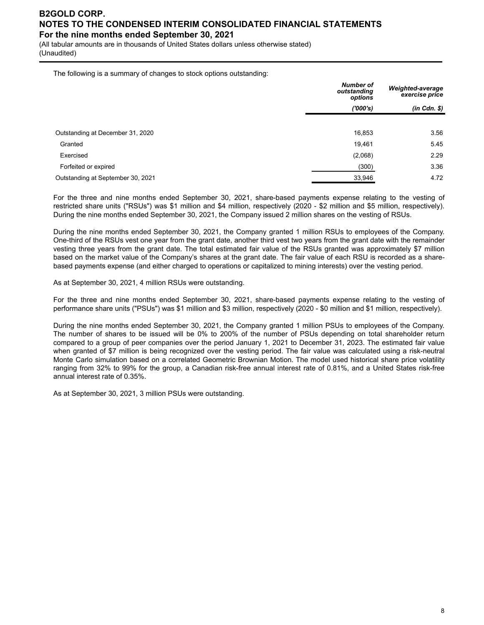(All tabular amounts are in thousands of United States dollars unless otherwise stated) (Unaudited)

The following is a summary of changes to stock options outstanding:

|                                   | <b>Number of</b><br>outstanding<br>options | Weighted-average<br>exercise price |  |
|-----------------------------------|--------------------------------------------|------------------------------------|--|
|                                   | ('000's)                                   | $(in$ $Cdn.$ $\$                   |  |
|                                   |                                            |                                    |  |
| Outstanding at December 31, 2020  | 16,853                                     | 3.56                               |  |
| Granted                           | 19,461                                     | 5.45                               |  |
| Exercised                         | (2,068)                                    | 2.29                               |  |
| Forfeited or expired              | (300)                                      | 3.36                               |  |
| Outstanding at September 30, 2021 | 33,946                                     | 4.72                               |  |

For the three and nine months ended September 30, 2021, share-based payments expense relating to the vesting of restricted share units ("RSUs") was \$1 million and \$4 million, respectively (2020 - \$2 million and \$5 million, respectively). During the nine months ended September 30, 2021, the Company issued 2 million shares on the vesting of RSUs.

During the nine months ended September 30, 2021, the Company granted 1 million RSUs to employees of the Company. One-third of the RSUs vest one year from the grant date, another third vest two years from the grant date with the remainder vesting three years from the grant date. The total estimated fair value of the RSUs granted was approximately \$7 million based on the market value of the Company's shares at the grant date. The fair value of each RSU is recorded as a sharebased payments expense (and either charged to operations or capitalized to mining interests) over the vesting period.

As at September 30, 2021, 4 million RSUs were outstanding.

For the three and nine months ended September 30, 2021, share-based payments expense relating to the vesting of performance share units ("PSUs") was \$1 million and \$3 million, respectively (2020 - \$0 million and \$1 million, respectively).

During the nine months ended September 30, 2021, the Company granted 1 million PSUs to employees of the Company. The number of shares to be issued will be 0% to 200% of the number of PSUs depending on total shareholder return compared to a group of peer companies over the period January 1, 2021 to December 31, 2023. The estimated fair value when granted of \$7 million is being recognized over the vesting period. The fair value was calculated using a risk-neutral Monte Carlo simulation based on a correlated Geometric Brownian Motion. The model used historical share price volatility ranging from 32% to 99% for the group, a Canadian risk-free annual interest rate of 0.81%, and a United States risk-free annual interest rate of 0.35%.

As at September 30, 2021, 3 million PSUs were outstanding.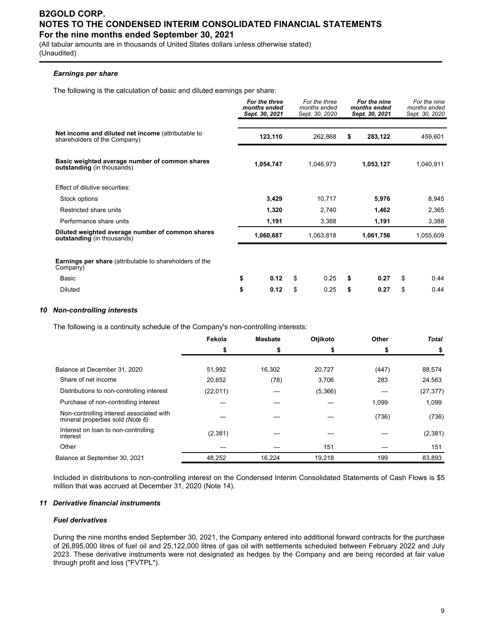(All tabular amounts are in thousands of United States dollars unless otherwise stated) (Unaudited)

#### *Earnings per share*

The following is the calculation of basic and diluted earnings per share:

|                                                                                       |    | For the three<br>months ended<br>Sept. 30, 2021 |    | For the three<br>months ended<br>Sept. 30, 2020 |    | For the nine<br>months ended<br>Sept. 30, 2021 |    | For the nine<br>months ended<br>Sept. 30, 2020 |  |
|---------------------------------------------------------------------------------------|----|-------------------------------------------------|----|-------------------------------------------------|----|------------------------------------------------|----|------------------------------------------------|--|
| Net income and diluted net income (attributable to<br>shareholders of the Company)    |    | 123,110                                         |    | 262,868                                         | \$ | 283,122                                        |    | 459,601                                        |  |
| Basic weighted average number of common shares<br>outstanding (in thousands)          |    | 1,054,747                                       |    | 1,046,973                                       |    | 1,053,127                                      |    | 1,040,911                                      |  |
| Effect of dilutive securities:                                                        |    |                                                 |    |                                                 |    |                                                |    |                                                |  |
| Stock options                                                                         |    | 3,429                                           |    | 10,717                                          |    | 5,976                                          |    | 8,945                                          |  |
| Restricted share units                                                                |    | 1,320                                           |    | 2,740                                           |    | 1,462                                          |    | 2,365                                          |  |
| Performance share units                                                               |    | 1,191                                           |    | 3,388                                           |    | 1,191                                          |    | 3,388                                          |  |
| Diluted weighted average number of common shares<br><b>outstanding</b> (in thousands) |    | 1,060,687                                       |    | 1,063,818                                       |    | 1,061,756                                      |    | 1,055,609                                      |  |
| <b>Earnings per share</b> (attributable to shareholders of the<br>Company)            |    |                                                 |    |                                                 |    |                                                |    |                                                |  |
| Basic                                                                                 | \$ | 0.12                                            | \$ | 0.25                                            | \$ | 0.27                                           | \$ | 0.44                                           |  |
| <b>Diluted</b>                                                                        | \$ | 0.12                                            | \$ | 0.25                                            | \$ | 0.27                                           | \$ | 0.44                                           |  |

#### *10 Non-controlling interests*

The following is a continuity schedule of the Company's non-controlling interests:

|                                                                              | Fekola    | <b>Masbate</b> | Otjikoto | Other | <b>Total</b> |
|------------------------------------------------------------------------------|-----------|----------------|----------|-------|--------------|
|                                                                              | \$        | \$             |          |       |              |
|                                                                              |           |                |          |       |              |
| Balance at December 31, 2020                                                 | 51,992    | 16,302         | 20,727   | (447) | 88,574       |
| Share of net income                                                          | 20,652    | (78)           | 3,706    | 283   | 24,563       |
| Distributions to non-controlling interest                                    | (22, 011) |                | (5,366)  |       | (27, 377)    |
| Purchase of non-controlling interest                                         |           |                |          | 1,099 | 1,099        |
| Non-controlling interest associated with<br>mineral properties sold (Note 6) |           |                |          | (736) | (736)        |
| Interest on loan to non-controlling<br>interest                              | (2, 381)  |                |          |       | (2, 381)     |
| Other                                                                        |           |                | 151      |       | 151          |
| Balance at September 30, 2021                                                | 48.252    | 16.224         | 19.218   | 199   | 83.893       |

Included in distributions to non-controlling interest on the Condensed Interim Consolidated Statements of Cash Flows is \$5 million that was accrued at December 31, 2020 (Note 14).

#### *11 Derivative financial instruments*

#### *Fuel derivatives*

During the nine months ended September 30, 2021, the Company entered into additional forward contracts for the purchase of 26,895,000 litres of fuel oil and 25,122,000 litres of gas oil with settlements scheduled between February 2022 and July 2023. These derivative instruments were not designated as hedges by the Company and are being recorded at fair value through profit and loss ("FVTPL").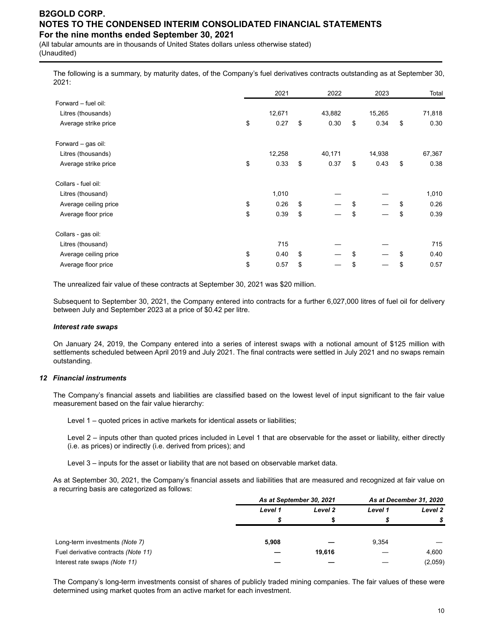(All tabular amounts are in thousands of United States dollars unless otherwise stated) (Unaudited)

The following is a summary, by maturity dates, of the Company's fuel derivatives contracts outstanding as at September 30, 2021:

|                       | 2021       | 2022       | 2023       | Total      |
|-----------------------|------------|------------|------------|------------|
| Forward - fuel oil:   |            |            |            |            |
| Litres (thousands)    | 12,671     | 43,882     | 15,265     | 71,818     |
| Average strike price  | \$<br>0.27 | \$<br>0.30 | \$<br>0.34 | \$<br>0.30 |
| Forward - gas oil:    |            |            |            |            |
| Litres (thousands)    | 12,258     | 40,171     | 14,938     | 67,367     |
| Average strike price  | \$<br>0.33 | \$<br>0.37 | \$<br>0.43 | \$<br>0.38 |
| Collars - fuel oil:   |            |            |            |            |
| Litres (thousand)     | 1,010      |            |            | 1,010      |
| Average ceiling price | \$<br>0.26 | \$         | \$         | \$<br>0.26 |
| Average floor price   | \$<br>0.39 | \$         | \$         | \$<br>0.39 |
| Collars - gas oil:    |            |            |            |            |
| Litres (thousand)     | 715        |            |            | 715        |
| Average ceiling price | \$<br>0.40 | \$         | \$         | \$<br>0.40 |
| Average floor price   | \$<br>0.57 | \$         | \$         | \$<br>0.57 |

The unrealized fair value of these contracts at September 30, 2021 was \$20 million.

Subsequent to September 30, 2021, the Company entered into contracts for a further 6,027,000 litres of fuel oil for delivery between July and September 2023 at a price of \$0.42 per litre.

#### *Interest rate swaps*

On January 24, 2019, the Company entered into a series of interest swaps with a notional amount of \$125 million with settlements scheduled between April 2019 and July 2021. The final contracts were settled in July 2021 and no swaps remain outstanding.

#### *12 Financial instruments*

The Company's financial assets and liabilities are classified based on the lowest level of input significant to the fair value measurement based on the fair value hierarchy:

Level 1 – quoted prices in active markets for identical assets or liabilities;

Level 2 – inputs other than quoted prices included in Level 1 that are observable for the asset or liability, either directly (i.e. as prices) or indirectly (i.e. derived from prices); and

Level 3 – inputs for the asset or liability that are not based on observable market data.

As at September 30, 2021, the Company's financial assets and liabilities that are measured and recognized at fair value on a recurring basis are categorized as follows:

|                                     |         | As at September 30, 2021 | As at December 31, 2020 |         |  |
|-------------------------------------|---------|--------------------------|-------------------------|---------|--|
|                                     | Level 1 | Level 2                  | Level 1                 | Level 2 |  |
|                                     |         |                          |                         |         |  |
| Long-term investments (Note 7)      | 5,908   |                          | 9,354                   |         |  |
| Fuel derivative contracts (Note 11) |         | 19,616                   |                         | 4,600   |  |
| Interest rate swaps (Note 11)       |         |                          |                         | (2,059) |  |

The Company's long-term investments consist of shares of publicly traded mining companies. The fair values of these were determined using market quotes from an active market for each investment.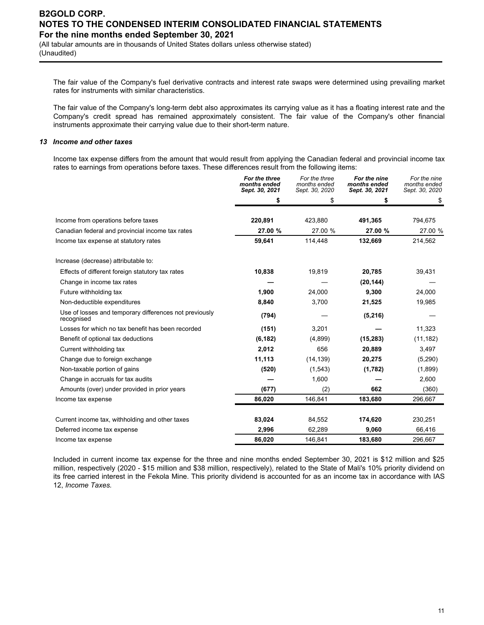(All tabular amounts are in thousands of United States dollars unless otherwise stated) (Unaudited)

The fair value of the Company's fuel derivative contracts and interest rate swaps were determined using prevailing market rates for instruments with similar characteristics.

The fair value of the Company's long-term debt also approximates its carrying value as it has a floating interest rate and the Company's credit spread has remained approximately consistent. The fair value of the Company's other financial instruments approximate their carrying value due to their short-term nature.

#### *13 Income and other taxes*

Income tax expense differs from the amount that would result from applying the Canadian federal and provincial income tax rates to earnings from operations before taxes. These differences result from the following items:

|                                                                      | For the three<br>months ended<br>Sept. 30, 2021 | For the three<br>months ended<br>Sept. 30, 2020 | For the nine<br>months ended<br>Sept. 30, 2021 | For the nine<br>months ended<br>Sept. 30, 2020 |
|----------------------------------------------------------------------|-------------------------------------------------|-------------------------------------------------|------------------------------------------------|------------------------------------------------|
|                                                                      | \$                                              | \$                                              | \$                                             | \$                                             |
| Income from operations before taxes                                  | 220,891                                         | 423,880                                         | 491,365                                        | 794,675                                        |
| Canadian federal and provincial income tax rates                     | 27.00 %                                         | 27.00 %                                         | 27.00 %                                        | 27.00 %                                        |
| Income tax expense at statutory rates                                | 59,641                                          | 114,448                                         | 132,669                                        | 214,562                                        |
| Increase (decrease) attributable to:                                 |                                                 |                                                 |                                                |                                                |
| Effects of different foreign statutory tax rates                     | 10,838                                          | 19,819                                          | 20,785                                         | 39,431                                         |
| Change in income tax rates                                           |                                                 |                                                 | (20, 144)                                      |                                                |
| Future withholding tax                                               | 1,900                                           | 24,000                                          | 9,300                                          | 24,000                                         |
| Non-deductible expenditures                                          | 8,840                                           | 3,700                                           | 21,525                                         | 19,985                                         |
| Use of losses and temporary differences not previously<br>recognised | (794)                                           |                                                 | (5, 216)                                       |                                                |
| Losses for which no tax benefit has been recorded                    | (151)                                           | 3,201                                           |                                                | 11,323                                         |
| Benefit of optional tax deductions                                   | (6, 182)                                        | (4,899)                                         | (15, 283)                                      | (11, 182)                                      |
| Current withholding tax                                              | 2,012                                           | 656                                             | 20,889                                         | 3,497                                          |
| Change due to foreign exchange                                       | 11,113                                          | (14, 139)                                       | 20,275                                         | (5,290)                                        |
| Non-taxable portion of gains                                         | (520)                                           | (1, 543)                                        | (1,782)                                        | (1,899)                                        |
| Change in accruals for tax audits                                    |                                                 | 1,600                                           |                                                | 2,600                                          |
| Amounts (over) under provided in prior years                         | (677)                                           | (2)                                             | 662                                            | (360)                                          |
| Income tax expense                                                   | 86,020                                          | 146,841                                         | 183,680                                        | 296,667                                        |
| Current income tax, withholding and other taxes                      | 83,024                                          | 84,552                                          | 174,620                                        | 230,251                                        |
| Deferred income tax expense                                          | 2,996                                           | 62,289                                          | 9,060                                          | 66,416                                         |
| Income tax expense                                                   | 86,020                                          | 146,841                                         | 183,680                                        | 296,667                                        |

Included in current income tax expense for the three and nine months ended September 30, 2021 is \$12 million and \$25 million, respectively (2020 - \$15 million and \$38 million, respectively), related to the State of Mali's 10% priority dividend on its free carried interest in the Fekola Mine. This priority dividend is accounted for as an income tax in accordance with IAS 12, *Income Taxes.*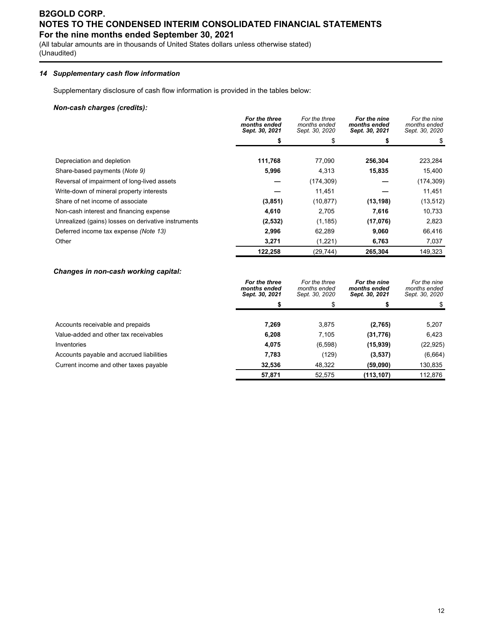(All tabular amounts are in thousands of United States dollars unless otherwise stated) (Unaudited)

### *14 Supplementary cash flow information*

Supplementary disclosure of cash flow information is provided in the tables below:

#### *Non-cash charges (credits):*

|                                                     | For the three<br>months ended<br>Sept. 30, 2021 | For the three<br>months ended<br>Sept. 30, 2020 | For the nine<br>months ended<br>Sept. 30, 2021 | For the nine<br>months ended<br>Sept. 30, 2020 |
|-----------------------------------------------------|-------------------------------------------------|-------------------------------------------------|------------------------------------------------|------------------------------------------------|
|                                                     |                                                 |                                                 |                                                |                                                |
| Depreciation and depletion                          | 111,768                                         | 77.090                                          | 256.304                                        | 223,284                                        |
| Share-based payments (Note 9)                       | 5,996                                           | 4,313                                           | 15,835                                         | 15,400                                         |
| Reversal of impairment of long-lived assets         |                                                 | (174, 309)                                      |                                                | (174, 309)                                     |
| Write-down of mineral property interests            |                                                 | 11,451                                          |                                                | 11,451                                         |
| Share of net income of associate                    | (3,851)                                         | (10, 877)                                       | (13, 198)                                      | (13, 512)                                      |
| Non-cash interest and financing expense             | 4,610                                           | 2,705                                           | 7,616                                          | 10,733                                         |
| Unrealized (gains) losses on derivative instruments | (2, 532)                                        | (1, 185)                                        | (17,076)                                       | 2,823                                          |
| Deferred income tax expense (Note 13)               | 2,996                                           | 62,289                                          | 9,060                                          | 66,416                                         |
| Other                                               | 3,271                                           | (1,221)                                         | 6,763                                          | 7,037                                          |
|                                                     | 122,258                                         | (29, 744)                                       | 265,304                                        | 149,323                                        |

#### *Changes in non-cash working capital:*

|                                          | For the three<br>months ended<br>Sept. 30, 2021 | For the three<br>months ended<br>Sept. 30, 2020 | For the nine<br>months ended<br>Sept. 30, 2021 | For the nine<br>months ended<br>Sept. 30, 2020 |
|------------------------------------------|-------------------------------------------------|-------------------------------------------------|------------------------------------------------|------------------------------------------------|
|                                          |                                                 |                                                 |                                                |                                                |
| Accounts receivable and prepaids         | 7.269                                           | 3,875                                           | (2,765)                                        | 5,207                                          |
| Value-added and other tax receivables    | 6,208                                           | 7,105                                           | (31, 776)                                      | 6,423                                          |
| Inventories                              | 4,075                                           | (6,598)                                         | (15,939)                                       | (22, 925)                                      |
| Accounts payable and accrued liabilities | 7,783                                           | (129)                                           | (3,537)                                        | (6,664)                                        |
| Current income and other taxes payable   | 32.536                                          | 48.322                                          | (59,090)                                       | 130,835                                        |
|                                          | 57,871                                          | 52.575                                          | (113, 107)                                     | 112.876                                        |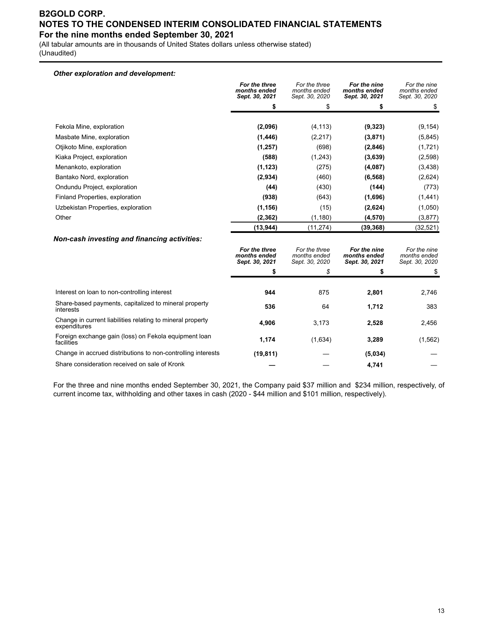(All tabular amounts are in thousands of United States dollars unless otherwise stated) (Unaudited)

#### *Other exploration and development:*

|                                    | For the three<br>months ended<br>Sept. 30, 2021 | For the three<br>months ended<br>Sept. 30, 2020 | For the nine<br>months ended<br>Sept. 30, 2021 | For the nine<br>months ended<br>Sept. 30, 2020 |
|------------------------------------|-------------------------------------------------|-------------------------------------------------|------------------------------------------------|------------------------------------------------|
|                                    | \$                                              |                                                 | \$                                             |                                                |
|                                    |                                                 |                                                 |                                                |                                                |
| Fekola Mine, exploration           | (2,096)                                         | (4, 113)                                        | (9,323)                                        | (9, 154)                                       |
| Masbate Mine, exploration          | (1, 446)                                        | (2,217)                                         | (3,871)                                        | (5,845)                                        |
| Otjikoto Mine, exploration         | (1, 257)                                        | (698)                                           | (2,846)                                        | (1,721)                                        |
| Kiaka Project, exploration         | (588)                                           | (1,243)                                         | (3,639)                                        | (2,598)                                        |
| Menankoto, exploration             | (1, 123)                                        | (275)                                           | (4,087)                                        | (3, 438)                                       |
| Bantako Nord, exploration          | (2,934)                                         | (460)                                           | (6, 568)                                       | (2,624)                                        |
| Ondundu Project, exploration       | (44)                                            | (430)                                           | (144)                                          | (773)                                          |
| Finland Properties, exploration    | (938)                                           | (643)                                           | (1,696)                                        | (1,441)                                        |
| Uzbekistan Properties, exploration | (1, 156)                                        | (15)                                            | (2,624)                                        | (1,050)                                        |
| Other                              | (2, 362)                                        | (1,180)                                         | (4, 570)                                       | (3, 877)                                       |
|                                    | (13, 944)                                       | (11, 274)                                       | (39, 368)                                      | (32, 521)                                      |

#### *Non-cash investing and financing activities:*

|                                                                            | For the three<br>months ended<br>Sept. 30, 2021 | For the three<br>months ended<br>Sept. 30, 2020 | For the nine<br>months ended<br>Sept. 30, 2021 | For the nine<br>months ended<br>Sept. 30, 2020 |
|----------------------------------------------------------------------------|-------------------------------------------------|-------------------------------------------------|------------------------------------------------|------------------------------------------------|
|                                                                            | \$                                              | \$                                              |                                                |                                                |
|                                                                            |                                                 |                                                 |                                                |                                                |
| Interest on loan to non-controlling interest                               | 944                                             | 875                                             | 2.801                                          | 2,746                                          |
| Share-based payments, capitalized to mineral property<br>interests         | 536                                             | 64                                              | 1.712                                          | 383                                            |
| Change in current liabilities relating to mineral property<br>expenditures | 4,906                                           | 3.173                                           | 2,528                                          | 2,456                                          |
| Foreign exchange gain (loss) on Fekola equipment loan<br>facilities        | 1,174                                           | (1,634)                                         | 3,289                                          | (1, 562)                                       |
| Change in accrued distributions to non-controlling interests               | (19, 811)                                       |                                                 | (5,034)                                        |                                                |
| Share consideration received on sale of Kronk                              |                                                 |                                                 | 4,741                                          |                                                |

For the three and nine months ended September 30, 2021, the Company paid \$37 million and \$234 million, respectively, of current income tax, withholding and other taxes in cash (2020 - \$44 million and \$101 million, respectively).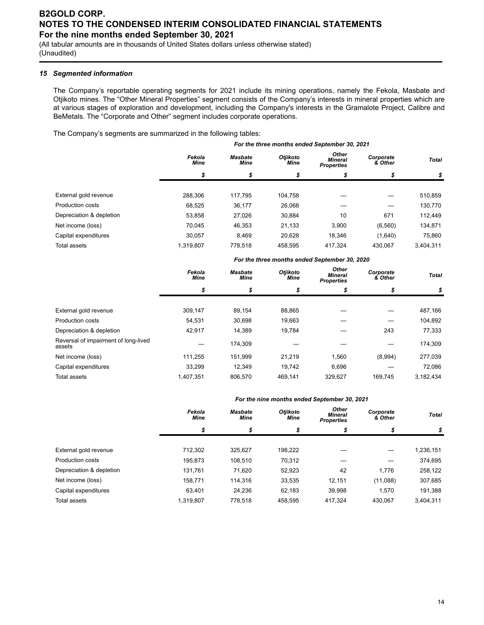(All tabular amounts are in thousands of United States dollars unless otherwise stated) (Unaudited)

#### *15 Segmented information*

The Company's reportable operating segments for 2021 include its mining operations, namely the Fekola, Masbate and Otjikoto mines. The "Other Mineral Properties" segment consists of the Company's interests in mineral properties which are at various stages of exploration and development, including the Company's interests in the Gramalote Project, Calibre and BeMetals. The "Corporate and Other" segment includes corporate operations.

The Company's segments are summarized in the following tables:

*For the three months ended September 30, 2021 Fekola Mine Masbate Mine Otjikoto Mine Other Mineral Properties Corporate & Other Total \$ \$ \$ \$ \$ \$* External gold revenue 288,306 117,795 104,758 — — 510,859 Production costs 68,525 36,177 26,068 — — 130,770 Depreciation & depletion 53,858 27,026 30,884 10 671 112,449 Net income (loss) 21,133 3,900 (6,560) 134,871 Capital expenditures 30,057 8,469 20,628 18,346 (1,640) 75,860 Total assets 1,319,807 778,518 458,595 417,324 430,067 3,404,311

|                                                | For the three months ended September 30, 2020 |                               |                         |                                       |                      |              |  |
|------------------------------------------------|-----------------------------------------------|-------------------------------|-------------------------|---------------------------------------|----------------------|--------------|--|
|                                                | Fekola<br><b>Mine</b>                         | <b>Masbate</b><br><b>Mine</b> | Otiikoto<br><b>Mine</b> | Other<br>Mineral<br><b>Properties</b> | Corporate<br>& Other | <b>Total</b> |  |
|                                                | \$                                            | \$                            | \$                      | \$                                    |                      | \$           |  |
|                                                |                                               |                               |                         |                                       |                      |              |  |
| External gold revenue                          | 309,147                                       | 89,154                        | 88,865                  |                                       |                      | 487,166      |  |
| <b>Production costs</b>                        | 54,531                                        | 30,698                        | 19,663                  |                                       |                      | 104,892      |  |
| Depreciation & depletion                       | 42,917                                        | 14,389                        | 19,784                  |                                       | 243                  | 77,333       |  |
| Reversal of impairment of long-lived<br>assets |                                               | 174,309                       |                         |                                       |                      | 174,309      |  |
| Net income (loss)                              | 111.255                                       | 151.999                       | 21.219                  | 1.560                                 | (8,994)              | 277,039      |  |
| Capital expenditures                           | 33.299                                        | 12.349                        | 19.742                  | 6.696                                 |                      | 72,086       |  |
| Total assets                                   | 1,407,351                                     | 806.570                       | 469,141                 | 329.627                               | 169.745              | 3,182,434    |  |

#### *For the nine months ended September 30, 2021*

|                          | Fekola<br><b>Mine</b> | <b>Masbate</b><br><b>Mine</b> | Otjikoto<br><b>Mine</b> | Other<br><b>Mineral</b><br><b>Properties</b> | Corporate<br>& Other | <b>Total</b> |
|--------------------------|-----------------------|-------------------------------|-------------------------|----------------------------------------------|----------------------|--------------|
|                          | \$                    | \$                            | \$                      | S                                            | ъ                    | \$           |
|                          |                       |                               |                         |                                              |                      |              |
| External gold revenue    | 712.302               | 325.627                       | 198.222                 |                                              |                      | 1,236,151    |
| Production costs         | 195.873               | 108,510                       | 70,312                  |                                              |                      | 374,695      |
| Depreciation & depletion | 131,761               | 71,620                        | 52,923                  | 42                                           | 1.776                | 258,122      |
| Net income (loss)        | 158,771               | 114.316                       | 33,535                  | 12,151                                       | (11,088)             | 307,685      |
| Capital expenditures     | 63.401                | 24.236                        | 62.183                  | 39,998                                       | 1.570                | 191,388      |
| <b>Total assets</b>      | 1,319,807             | 778,518                       | 458,595                 | 417,324                                      | 430.067              | 3,404,311    |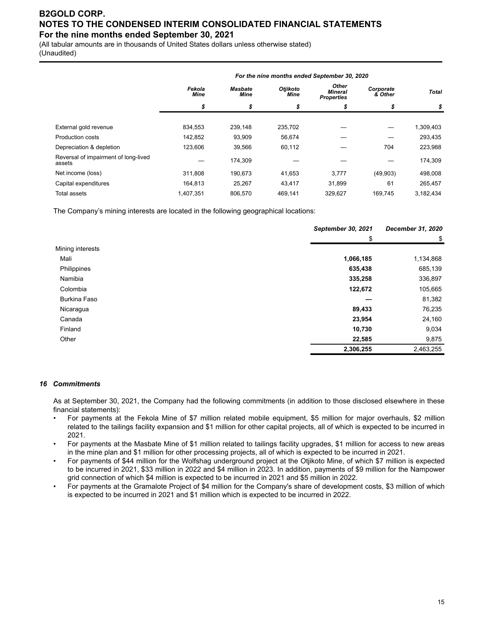(All tabular amounts are in thousands of United States dollars unless otherwise stated)

(Unaudited)

|                                                | For the nine months ended September 30, 2020 |                               |                         |                                                     |                      |              |  |  |  |
|------------------------------------------------|----------------------------------------------|-------------------------------|-------------------------|-----------------------------------------------------|----------------------|--------------|--|--|--|
|                                                | Fekola<br><b>Mine</b>                        | <b>Masbate</b><br><b>Mine</b> | Otjikoto<br><b>Mine</b> | <b>Other</b><br><b>Mineral</b><br><b>Properties</b> | Corporate<br>& Other | <b>Total</b> |  |  |  |
|                                                | \$                                           | \$                            | \$                      | \$                                                  | \$                   | \$           |  |  |  |
|                                                |                                              |                               |                         |                                                     |                      |              |  |  |  |
| External gold revenue                          | 834,553                                      | 239,148                       | 235,702                 |                                                     |                      | 1,309,403    |  |  |  |
| <b>Production costs</b>                        | 142,852                                      | 93,909                        | 56,674                  |                                                     |                      | 293,435      |  |  |  |
| Depreciation & depletion                       | 123,606                                      | 39,566                        | 60,112                  |                                                     | 704                  | 223,988      |  |  |  |
| Reversal of impairment of long-lived<br>assets |                                              | 174,309                       |                         |                                                     |                      | 174,309      |  |  |  |
| Net income (loss)                              | 311.808                                      | 190.673                       | 41,653                  | 3,777                                               | (49,903)             | 498,008      |  |  |  |
| Capital expenditures                           | 164.813                                      | 25.267                        | 43.417                  | 31.899                                              | 61                   | 265.457      |  |  |  |
| Total assets                                   | 1,407,351                                    | 806,570                       | 469.141                 | 329,627                                             | 169.745              | 3,182,434    |  |  |  |

The Company's mining interests are located in the following geographical locations:

|                  | September 30, 2021 | December 31, 2020 |  |
|------------------|--------------------|-------------------|--|
|                  | \$                 | \$                |  |
| Mining interests |                    |                   |  |
| Mali             | 1,066,185          | 1,134,868         |  |
| Philippines      | 635,438            | 685,139           |  |
| Namibia          | 335,258            | 336,897           |  |
| Colombia         | 122,672            | 105,665           |  |
| Burkina Faso     |                    | 81,382            |  |
| Nicaragua        | 89,433             | 76,235            |  |
| Canada           | 23,954             | 24,160            |  |
| Finland          | 10,730             | 9,034             |  |
| Other            | 22,585             | 9,875             |  |
|                  | 2,306,255          | 2,463,255         |  |

#### *16 Commitments*

As at September 30, 2021, the Company had the following commitments (in addition to those disclosed elsewhere in these financial statements):

- For payments at the Fekola Mine of \$7 million related mobile equipment, \$5 million for major overhauls, \$2 million related to the tailings facility expansion and \$1 million for other capital projects, all of which is expected to be incurred in 2021.
- For payments at the Masbate Mine of \$1 million related to tailings facility upgrades, \$1 million for access to new areas in the mine plan and \$1 million for other processing projects, all of which is expected to be incurred in 2021.
- For payments of \$44 million for the Wolfshag underground project at the Otjikoto Mine, of which \$7 million is expected to be incurred in 2021, \$33 million in 2022 and \$4 million in 2023. In addition, payments of \$9 million for the Nampower grid connection of which \$4 million is expected to be incurred in 2021 and \$5 million in 2022.
- For payments at the Gramalote Project of \$4 million for the Company's share of development costs, \$3 million of which is expected to be incurred in 2021 and \$1 million which is expected to be incurred in 2022.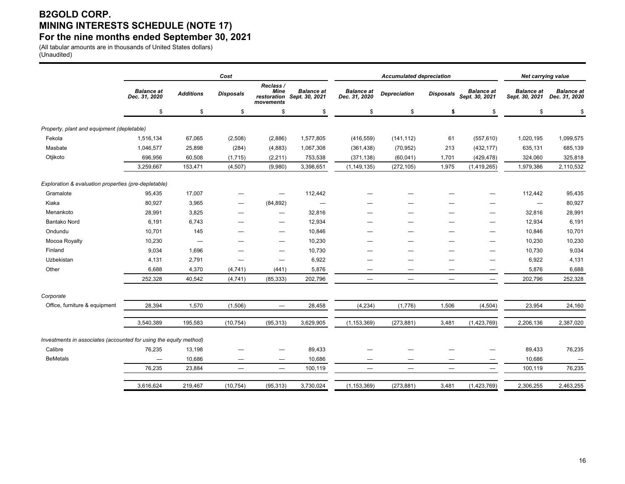# **B2GOLD CORP. MINING INTERESTS SCHEDULE (NOTE 17) For the nine months ended September 30, 2021**

(All tabular amounts are in thousands of United States dollars) (Unaudited)

|                                                                   | Cost                               |                          |                          |                                       |                                                 | <b>Accumulated depreciation</b>    |                                 |                          |                                     | <b>Net carrying value</b>           |                                    |  |
|-------------------------------------------------------------------|------------------------------------|--------------------------|--------------------------|---------------------------------------|-------------------------------------------------|------------------------------------|---------------------------------|--------------------------|-------------------------------------|-------------------------------------|------------------------------------|--|
|                                                                   | <b>Balance at</b><br>Dec. 31, 2020 | <b>Additions</b>         | <b>Disposals</b>         | Reclass /<br><b>Mine</b><br>movements | <b>Balance</b> at<br>restoration Sept. 30, 2021 | <b>Balance at</b><br>Dec. 31, 2020 | <b>Depreciation</b>             | Disposals                | <b>Balance at</b><br>Sept. 30, 2021 | <b>Balance at</b><br>Sept. 30, 2021 | <b>Balance</b> at<br>Dec. 31, 2020 |  |
|                                                                   | \$                                 | \$                       | \$                       | \$                                    | \$                                              | \$                                 | \$                              | \$                       | \$                                  | \$                                  | \$                                 |  |
| Property, plant and equipment (depletable)                        |                                    |                          |                          |                                       |                                                 |                                    |                                 |                          |                                     |                                     |                                    |  |
| Fekola                                                            | 1,516,134                          | 67,065                   | (2,508)                  | (2,886)                               | 1,577,805                                       | (416, 559)                         | (141, 112)                      | 61                       | (557, 610)                          | 1,020,195                           | 1,099,575                          |  |
| Masbate                                                           | 1,046,577                          | 25,898                   | (284)                    | (4,883)                               | 1,067,308                                       | (361, 438)                         | (70, 952)                       | 213                      | (432, 177)                          | 635,131                             | 685,139                            |  |
| Otjikoto                                                          | 696,956                            | 60,508                   | (1,715)                  | (2, 211)                              | 753,538                                         | (371, 138)                         | (60, 041)                       | 1,701                    | (429, 478)                          | 324,060                             | 325,818                            |  |
|                                                                   | 3,259,667                          | 153,471                  | (4, 507)                 | (9,980)                               | 3,398,651                                       | (1, 149, 135)                      | (272, 105)                      | 1,975                    | (1, 419, 265)                       | 1,979,386                           | 2,110,532                          |  |
| Exploration & evaluation properties (pre-depletable)              |                                    |                          |                          |                                       |                                                 |                                    |                                 |                          |                                     |                                     |                                    |  |
| Gramalote                                                         | 95,435                             | 17,007                   |                          |                                       | 112,442                                         |                                    |                                 |                          |                                     | 112,442                             | 95,435                             |  |
| Kiaka                                                             | 80,927                             | 3,965                    |                          | (84, 892)                             | -                                               |                                    |                                 |                          |                                     | $\overline{\phantom{0}}$            | 80,927                             |  |
| Menankoto                                                         | 28,991                             | 3,825                    |                          | —                                     | 32,816                                          |                                    |                                 |                          |                                     | 32,816                              | 28,991                             |  |
| <b>Bantako Nord</b>                                               | 6,191                              | 6,743                    |                          |                                       | 12,934                                          |                                    |                                 |                          | —                                   | 12,934                              | 6,191                              |  |
| Ondundu                                                           | 10,701                             | 145                      |                          | -                                     | 10,846                                          |                                    |                                 |                          | -                                   | 10,846                              | 10,701                             |  |
| Mocoa Royalty                                                     | 10,230                             | $\overline{\phantom{0}}$ |                          | -                                     | 10,230                                          |                                    |                                 |                          |                                     | 10,230                              | 10,230                             |  |
| Finland                                                           | 9,034                              | 1,696                    |                          |                                       | 10,730                                          |                                    |                                 |                          | -                                   | 10,730                              | 9,034                              |  |
| Uzbekistan                                                        | 4,131                              | 2,791                    | -                        | $\overline{\phantom{m}}$              | 6,922                                           |                                    |                                 |                          | —                                   | 6,922                               | 4,131                              |  |
| Other                                                             | 6,688                              | 4,370                    | (4, 741)                 | (441)                                 | 5,876                                           | -                                  |                                 |                          | —                                   | 5,876                               | 6,688                              |  |
|                                                                   | 252,328                            | 40,542                   | (4,741)                  | (85, 333)                             | 202,796                                         | $\overline{\phantom{0}}$           | $\overbrace{\phantom{1232211}}$ | $\equiv$                 | $\overline{\phantom{m}}$            | 202,796                             | 252,328                            |  |
| Corporate                                                         |                                    |                          |                          |                                       |                                                 |                                    |                                 |                          |                                     |                                     |                                    |  |
| Office, furniture & equipment                                     | 28,394                             | 1,570                    | (1,506)                  | $\overline{\phantom{0}}$              | 28,458                                          | (4, 234)                           | (1,776)                         | 1,506                    | (4, 504)                            | 23,954                              | 24,160                             |  |
|                                                                   | 3,540,389                          | 195,583                  | (10, 754)                | (95, 313)                             | 3,629,905                                       | (1, 153, 369)                      | (273, 881)                      | 3,481                    | (1, 423, 769)                       | 2,206,136                           | 2,387,020                          |  |
| Investments in associates (accounted for using the equity method) |                                    |                          |                          |                                       |                                                 |                                    |                                 |                          |                                     |                                     |                                    |  |
| Calibre                                                           | 76,235                             | 13,198                   |                          |                                       | 89,433                                          |                                    |                                 |                          |                                     | 89,433                              | 76,235                             |  |
| <b>BeMetals</b>                                                   |                                    | 10,686                   |                          |                                       | 10,686                                          |                                    |                                 |                          | —                                   | 10,686                              |                                    |  |
|                                                                   | 76,235                             | 23,884                   | $\overline{\phantom{m}}$ | $\overline{\phantom{m}}$              | 100,119                                         | $\overline{\phantom{m}}$           | $\overline{\phantom{m}}$        | $\overline{\phantom{m}}$ | $\overline{\phantom{m}}$            | 100,119                             | 76,235                             |  |
|                                                                   | 3,616,624                          | 219,467                  | (10, 754)                | (95, 313)                             | 3,730,024                                       | (1, 153, 369)                      | (273, 881)                      | 3,481                    | (1,423,769)                         | 2,306,255                           | 2,463,255                          |  |
|                                                                   |                                    |                          |                          |                                       |                                                 |                                    |                                 |                          |                                     |                                     |                                    |  |